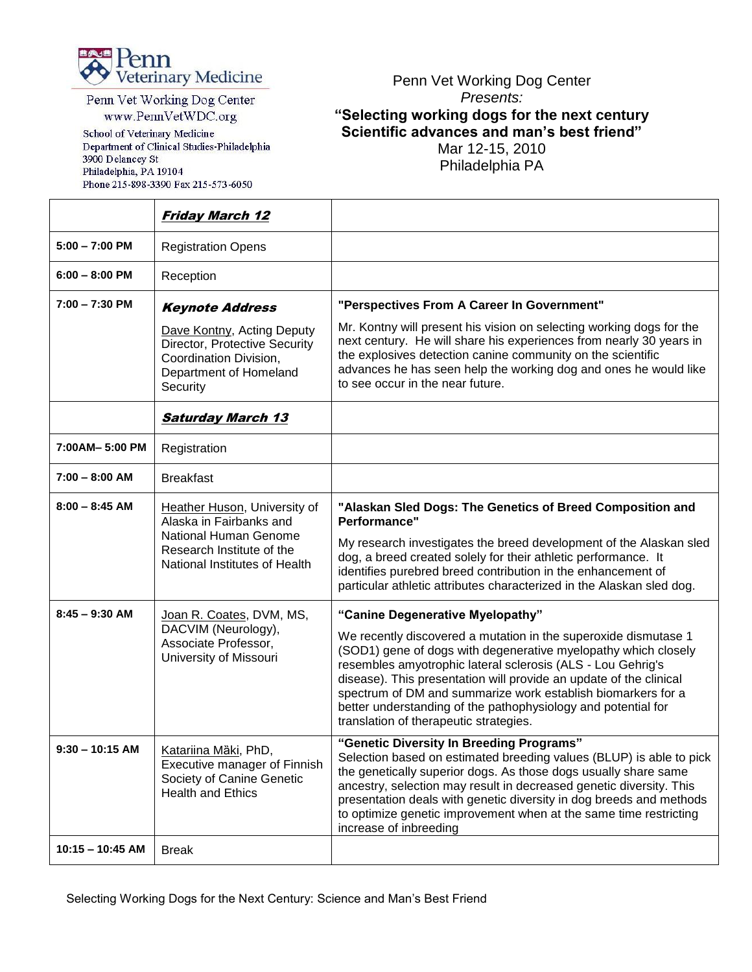

Penn Vet Working Dog Center www.PennVetWDC.org

School of Veterinary Medicine Department of Clinical Studies-Philadelphia 3900 Delancey St Philadelphia, PA 19104 Phone 215-898-3390 Fax 215-573-6050

## Penn Vet Working Dog Center *Presents:* **"Selecting working dogs for the next century Scientific advances and man's best friend"** Mar 12-15, 2010

Philadelphia PA

|                    | <b>Friday March 12</b>                                                                                                                         |                                                                                                                                                                                                                                                                                                                                                                                                                                                                                       |
|--------------------|------------------------------------------------------------------------------------------------------------------------------------------------|---------------------------------------------------------------------------------------------------------------------------------------------------------------------------------------------------------------------------------------------------------------------------------------------------------------------------------------------------------------------------------------------------------------------------------------------------------------------------------------|
| $5:00 - 7:00$ PM   | <b>Registration Opens</b>                                                                                                                      |                                                                                                                                                                                                                                                                                                                                                                                                                                                                                       |
| $6:00 - 8:00$ PM   | Reception                                                                                                                                      |                                                                                                                                                                                                                                                                                                                                                                                                                                                                                       |
| $7:00 - 7:30$ PM   | <b>Keynote Address</b>                                                                                                                         | "Perspectives From A Career In Government"                                                                                                                                                                                                                                                                                                                                                                                                                                            |
|                    | Dave Kontny, Acting Deputy<br>Director, Protective Security<br>Coordination Division,<br>Department of Homeland<br>Security                    | Mr. Kontny will present his vision on selecting working dogs for the<br>next century. He will share his experiences from nearly 30 years in<br>the explosives detection canine community on the scientific<br>advances he has seen help the working dog and ones he would like<br>to see occur in the near future.                                                                                                                                                                    |
|                    | <b>Saturday March 13</b>                                                                                                                       |                                                                                                                                                                                                                                                                                                                                                                                                                                                                                       |
| 7:00AM-5:00 PM     | Registration                                                                                                                                   |                                                                                                                                                                                                                                                                                                                                                                                                                                                                                       |
| $7:00 - 8:00$ AM   | <b>Breakfast</b>                                                                                                                               |                                                                                                                                                                                                                                                                                                                                                                                                                                                                                       |
| $8:00 - 8:45$ AM   | Heather Huson, University of<br>Alaska in Fairbanks and<br>National Human Genome<br>Research Institute of the<br>National Institutes of Health | "Alaskan Sled Dogs: The Genetics of Breed Composition and<br>Performance"<br>My research investigates the breed development of the Alaskan sled<br>dog, a breed created solely for their athletic performance. It<br>identifies purebred breed contribution in the enhancement of<br>particular athletic attributes characterized in the Alaskan sled dog.                                                                                                                            |
| $8:45 - 9:30$ AM   | Joan R. Coates, DVM, MS,<br>DACVIM (Neurology),<br>Associate Professor,<br>University of Missouri                                              | "Canine Degenerative Myelopathy"<br>We recently discovered a mutation in the superoxide dismutase 1<br>(SOD1) gene of dogs with degenerative myelopathy which closely<br>resembles amyotrophic lateral sclerosis (ALS - Lou Gehrig's<br>disease). This presentation will provide an update of the clinical<br>spectrum of DM and summarize work establish biomarkers for a<br>better understanding of the pathophysiology and potential for<br>translation of therapeutic strategies. |
| $9:30 - 10:15$ AM  | Katariina Mäki, PhD,<br>Executive manager of Finnish<br>Society of Canine Genetic<br><b>Health and Ethics</b>                                  | "Genetic Diversity In Breeding Programs"<br>Selection based on estimated breeding values (BLUP) is able to pick<br>the genetically superior dogs. As those dogs usually share same<br>ancestry, selection may result in decreased genetic diversity. This<br>presentation deals with genetic diversity in dog breeds and methods<br>to optimize genetic improvement when at the same time restricting<br>increase of inbreeding                                                       |
| $10:15 - 10:45$ AM | <b>Break</b>                                                                                                                                   |                                                                                                                                                                                                                                                                                                                                                                                                                                                                                       |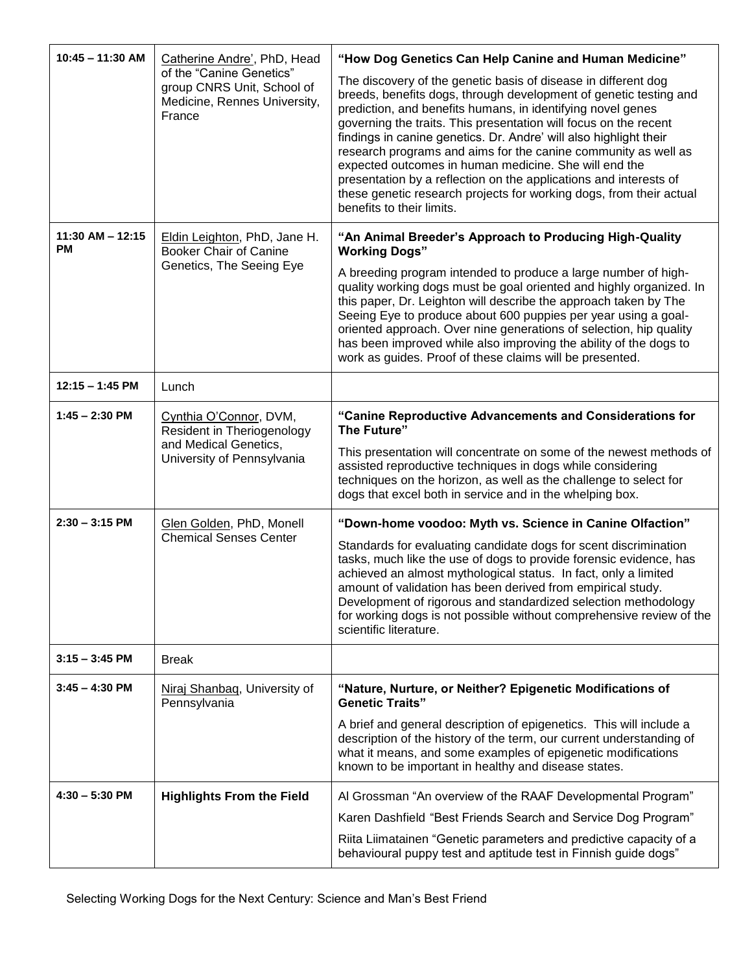| $10:45 - 11:30$ AM                        | Catherine Andre', PhD, Head<br>of the "Canine Genetics"<br>group CNRS Unit, School of<br>Medicine, Rennes University,<br>France | "How Dog Genetics Can Help Canine and Human Medicine"                                                                                                                                                                                                                                                                                                                                                                                                                                                                                                                                                                                           |
|-------------------------------------------|---------------------------------------------------------------------------------------------------------------------------------|-------------------------------------------------------------------------------------------------------------------------------------------------------------------------------------------------------------------------------------------------------------------------------------------------------------------------------------------------------------------------------------------------------------------------------------------------------------------------------------------------------------------------------------------------------------------------------------------------------------------------------------------------|
|                                           |                                                                                                                                 | The discovery of the genetic basis of disease in different dog<br>breeds, benefits dogs, through development of genetic testing and<br>prediction, and benefits humans, in identifying novel genes<br>governing the traits. This presentation will focus on the recent<br>findings in canine genetics. Dr. Andre' will also highlight their<br>research programs and aims for the canine community as well as<br>expected outcomes in human medicine. She will end the<br>presentation by a reflection on the applications and interests of<br>these genetic research projects for working dogs, from their actual<br>benefits to their limits. |
| $11:30$ AM - $12:15$<br><b>PM</b>         | Eldin Leighton, PhD, Jane H.<br><b>Booker Chair of Canine</b><br>Genetics, The Seeing Eye                                       | "An Animal Breeder's Approach to Producing High-Quality<br><b>Working Dogs"</b>                                                                                                                                                                                                                                                                                                                                                                                                                                                                                                                                                                 |
|                                           |                                                                                                                                 | A breeding program intended to produce a large number of high-<br>quality working dogs must be goal oriented and highly organized. In<br>this paper, Dr. Leighton will describe the approach taken by The<br>Seeing Eye to produce about 600 puppies per year using a goal-<br>oriented approach. Over nine generations of selection, hip quality<br>has been improved while also improving the ability of the dogs to<br>work as guides. Proof of these claims will be presented.                                                                                                                                                              |
| $12:15 - 1:45$ PM                         | Lunch                                                                                                                           |                                                                                                                                                                                                                                                                                                                                                                                                                                                                                                                                                                                                                                                 |
| $1:45 - 2:30$ PM<br>and Medical Genetics, | Cynthia O'Connor, DVM,<br>Resident in Theriogenology                                                                            | "Canine Reproductive Advancements and Considerations for<br>The Future"                                                                                                                                                                                                                                                                                                                                                                                                                                                                                                                                                                         |
|                                           | University of Pennsylvania                                                                                                      | This presentation will concentrate on some of the newest methods of<br>assisted reproductive techniques in dogs while considering<br>techniques on the horizon, as well as the challenge to select for<br>dogs that excel both in service and in the whelping box.                                                                                                                                                                                                                                                                                                                                                                              |
| $2:30 - 3:15$ PM                          | Glen Golden, PhD, Monell<br><b>Chemical Senses Center</b>                                                                       | "Down-home voodoo: Myth vs. Science in Canine Olfaction"                                                                                                                                                                                                                                                                                                                                                                                                                                                                                                                                                                                        |
|                                           |                                                                                                                                 | Standards for evaluating candidate dogs for scent discrimination<br>tasks, much like the use of dogs to provide forensic evidence, has<br>achieved an almost mythological status. In fact, only a limited<br>amount of validation has been derived from empirical study.<br>Development of rigorous and standardized selection methodology<br>for working dogs is not possible without comprehensive review of the<br>scientific literature.                                                                                                                                                                                                    |
| $3:15 - 3:45$ PM                          | <b>Break</b>                                                                                                                    |                                                                                                                                                                                                                                                                                                                                                                                                                                                                                                                                                                                                                                                 |
| $3:45 - 4:30$ PM                          | Niraj Shanbaq, University of<br>Pennsylvania                                                                                    | "Nature, Nurture, or Neither? Epigenetic Modifications of<br><b>Genetic Traits"</b>                                                                                                                                                                                                                                                                                                                                                                                                                                                                                                                                                             |
|                                           |                                                                                                                                 | A brief and general description of epigenetics. This will include a<br>description of the history of the term, our current understanding of<br>what it means, and some examples of epigenetic modifications<br>known to be important in healthy and disease states.                                                                                                                                                                                                                                                                                                                                                                             |
| $4:30 - 5:30$ PM                          | <b>Highlights From the Field</b>                                                                                                | Al Grossman "An overview of the RAAF Developmental Program"                                                                                                                                                                                                                                                                                                                                                                                                                                                                                                                                                                                     |
|                                           |                                                                                                                                 | Karen Dashfield "Best Friends Search and Service Dog Program"                                                                                                                                                                                                                                                                                                                                                                                                                                                                                                                                                                                   |
|                                           |                                                                                                                                 | Riita Liimatainen "Genetic parameters and predictive capacity of a<br>behavioural puppy test and aptitude test in Finnish guide dogs"                                                                                                                                                                                                                                                                                                                                                                                                                                                                                                           |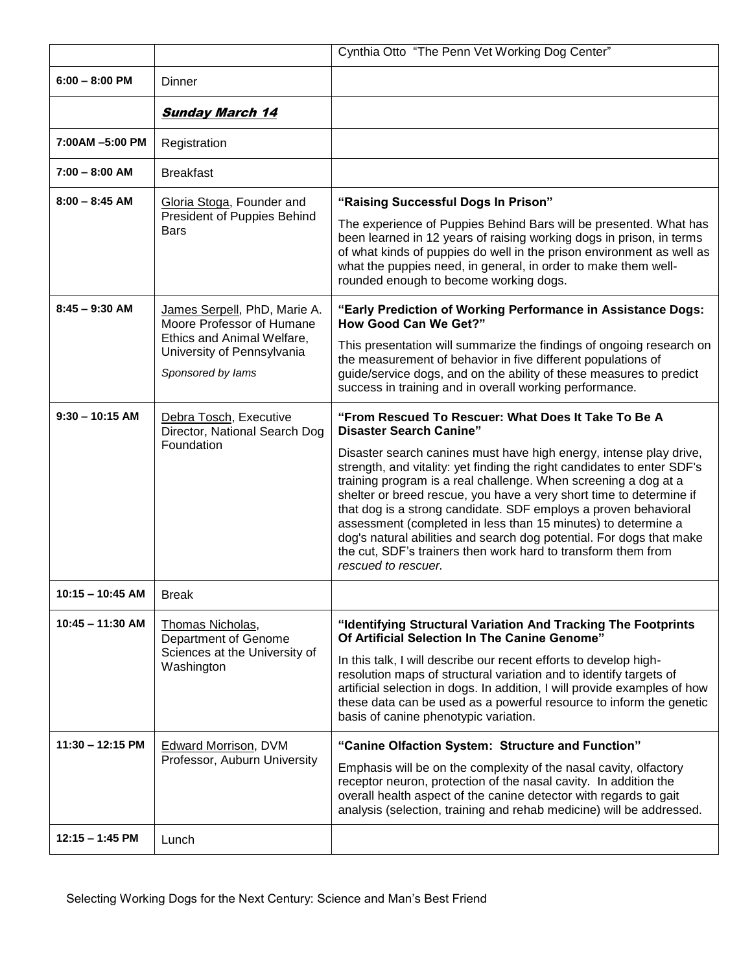|                    |                                                                                                                                            | Cynthia Otto "The Penn Vet Working Dog Center"                                                                                                                                                                                                                                                                                                                                                                                                                                                                                                                                                                                                                                       |
|--------------------|--------------------------------------------------------------------------------------------------------------------------------------------|--------------------------------------------------------------------------------------------------------------------------------------------------------------------------------------------------------------------------------------------------------------------------------------------------------------------------------------------------------------------------------------------------------------------------------------------------------------------------------------------------------------------------------------------------------------------------------------------------------------------------------------------------------------------------------------|
| $6:00 - 8:00$ PM   | Dinner                                                                                                                                     |                                                                                                                                                                                                                                                                                                                                                                                                                                                                                                                                                                                                                                                                                      |
|                    | <b>Sunday March 14</b>                                                                                                                     |                                                                                                                                                                                                                                                                                                                                                                                                                                                                                                                                                                                                                                                                                      |
| 7:00AM -5:00 PM    | Registration                                                                                                                               |                                                                                                                                                                                                                                                                                                                                                                                                                                                                                                                                                                                                                                                                                      |
| $7:00 - 8:00$ AM   | <b>Breakfast</b>                                                                                                                           |                                                                                                                                                                                                                                                                                                                                                                                                                                                                                                                                                                                                                                                                                      |
| $8:00 - 8:45$ AM   | Gloria Stoga, Founder and<br>President of Puppies Behind<br><b>Bars</b>                                                                    | "Raising Successful Dogs In Prison"<br>The experience of Puppies Behind Bars will be presented. What has<br>been learned in 12 years of raising working dogs in prison, in terms<br>of what kinds of puppies do well in the prison environment as well as<br>what the puppies need, in general, in order to make them well-<br>rounded enough to become working dogs.                                                                                                                                                                                                                                                                                                                |
| $8:45 - 9:30$ AM   | James Serpell, PhD, Marie A.<br>Moore Professor of Humane<br>Ethics and Animal Welfare,<br>University of Pennsylvania<br>Sponsored by lams | "Early Prediction of Working Performance in Assistance Dogs:<br><b>How Good Can We Get?"</b><br>This presentation will summarize the findings of ongoing research on<br>the measurement of behavior in five different populations of<br>guide/service dogs, and on the ability of these measures to predict<br>success in training and in overall working performance.                                                                                                                                                                                                                                                                                                               |
| $9:30 - 10:15$ AM  | Debra Tosch, Executive<br>Director, National Search Dog<br>Foundation                                                                      | "From Rescued To Rescuer: What Does It Take To Be A<br><b>Disaster Search Canine"</b><br>Disaster search canines must have high energy, intense play drive,<br>strength, and vitality: yet finding the right candidates to enter SDF's<br>training program is a real challenge. When screening a dog at a<br>shelter or breed rescue, you have a very short time to determine if<br>that dog is a strong candidate. SDF employs a proven behavioral<br>assessment (completed in less than 15 minutes) to determine a<br>dog's natural abilities and search dog potential. For dogs that make<br>the cut, SDF's trainers then work hard to transform them from<br>rescued to rescuer. |
| 10:15 - 10:45 AM   | <b>Break</b>                                                                                                                               |                                                                                                                                                                                                                                                                                                                                                                                                                                                                                                                                                                                                                                                                                      |
| $10:45 - 11:30$ AM | Thomas Nicholas,<br>Department of Genome<br>Sciences at the University of<br>Washington                                                    | "Identifying Structural Variation And Tracking The Footprints<br>Of Artificial Selection In The Canine Genome"<br>In this talk, I will describe our recent efforts to develop high-<br>resolution maps of structural variation and to identify targets of<br>artificial selection in dogs. In addition, I will provide examples of how<br>these data can be used as a powerful resource to inform the genetic<br>basis of canine phenotypic variation.                                                                                                                                                                                                                               |
| 11:30 – 12:15 PM   | <b>Edward Morrison, DVM</b><br>Professor, Auburn University                                                                                | "Canine Olfaction System: Structure and Function"<br>Emphasis will be on the complexity of the nasal cavity, olfactory<br>receptor neuron, protection of the nasal cavity. In addition the<br>overall health aspect of the canine detector with regards to gait<br>analysis (selection, training and rehab medicine) will be addressed.                                                                                                                                                                                                                                                                                                                                              |
| $12:15 - 1:45$ PM  | Lunch                                                                                                                                      |                                                                                                                                                                                                                                                                                                                                                                                                                                                                                                                                                                                                                                                                                      |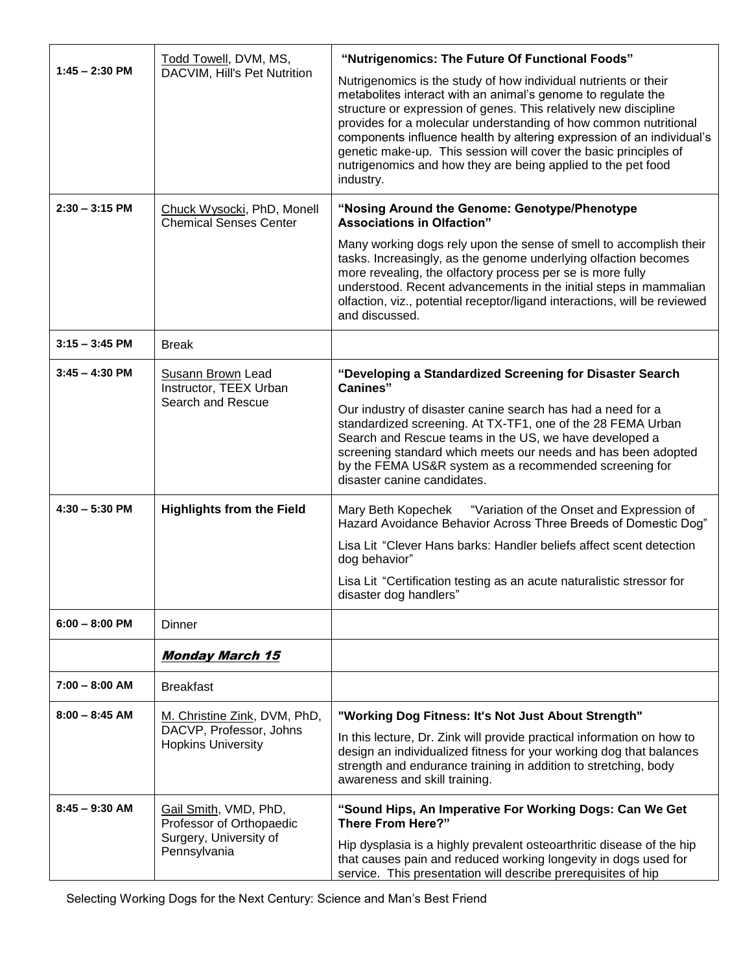|                                      | Todd Towell, DVM, MS,<br>DACVIM, Hill's Pet Nutrition                                                       | "Nutrigenomics: The Future Of Functional Foods"                                                                                                                                                                                                                                                                                                                                                                                                                                                   |
|--------------------------------------|-------------------------------------------------------------------------------------------------------------|---------------------------------------------------------------------------------------------------------------------------------------------------------------------------------------------------------------------------------------------------------------------------------------------------------------------------------------------------------------------------------------------------------------------------------------------------------------------------------------------------|
| $1:45 - 2:30$ PM                     |                                                                                                             | Nutrigenomics is the study of how individual nutrients or their<br>metabolites interact with an animal's genome to regulate the<br>structure or expression of genes. This relatively new discipline<br>provides for a molecular understanding of how common nutritional<br>components influence health by altering expression of an individual's<br>genetic make-up. This session will cover the basic principles of<br>nutrigenomics and how they are being applied to the pet food<br>industry. |
| $2:30 - 3:15$ PM                     | Chuck Wysocki, PhD, Monell<br><b>Chemical Senses Center</b>                                                 | "Nosing Around the Genome: Genotype/Phenotype<br><b>Associations in Olfaction"</b>                                                                                                                                                                                                                                                                                                                                                                                                                |
|                                      |                                                                                                             | Many working dogs rely upon the sense of smell to accomplish their<br>tasks. Increasingly, as the genome underlying olfaction becomes<br>more revealing, the olfactory process per se is more fully<br>understood. Recent advancements in the initial steps in mammalian<br>olfaction, viz., potential receptor/ligand interactions, will be reviewed<br>and discussed.                                                                                                                           |
| $3:15 - 3:45$ PM                     | <b>Break</b>                                                                                                |                                                                                                                                                                                                                                                                                                                                                                                                                                                                                                   |
| $3:45 - 4:30$ PM<br>$4:30 - 5:30$ PM | <b>Susann Brown Lead</b><br>Instructor, TEEX Urban<br>Search and Rescue<br><b>Highlights from the Field</b> | "Developing a Standardized Screening for Disaster Search<br><b>Canines</b> "<br>Our industry of disaster canine search has had a need for a<br>standardized screening. At TX-TF1, one of the 28 FEMA Urban<br>Search and Rescue teams in the US, we have developed a<br>screening standard which meets our needs and has been adopted<br>by the FEMA US&R system as a recommended screening for<br>disaster canine candidates.<br>Mary Beth Kopechek "Variation of the Onset and Expression of    |
|                                      |                                                                                                             | Hazard Avoidance Behavior Across Three Breeds of Domestic Dog"<br>Lisa Lit "Clever Hans barks: Handler beliefs affect scent detection                                                                                                                                                                                                                                                                                                                                                             |
|                                      |                                                                                                             | dog behavior"                                                                                                                                                                                                                                                                                                                                                                                                                                                                                     |
|                                      |                                                                                                             | Lisa Lit "Certification testing as an acute naturalistic stressor for<br>disaster dog handlers"                                                                                                                                                                                                                                                                                                                                                                                                   |
| $6:00 - 8:00$ PM                     | Dinner                                                                                                      |                                                                                                                                                                                                                                                                                                                                                                                                                                                                                                   |
|                                      | <b>Monday March 15</b>                                                                                      |                                                                                                                                                                                                                                                                                                                                                                                                                                                                                                   |
| $7:00 - 8:00$ AM                     | <b>Breakfast</b>                                                                                            |                                                                                                                                                                                                                                                                                                                                                                                                                                                                                                   |
| $8:00 - 8:45$ AM                     | M. Christine Zink, DVM, PhD,                                                                                | "Working Dog Fitness: It's Not Just About Strength"                                                                                                                                                                                                                                                                                                                                                                                                                                               |
|                                      | DACVP, Professor, Johns<br><b>Hopkins University</b>                                                        | In this lecture, Dr. Zink will provide practical information on how to<br>design an individualized fitness for your working dog that balances<br>strength and endurance training in addition to stretching, body<br>awareness and skill training.                                                                                                                                                                                                                                                 |
| $8:45 - 9:30$ AM                     | Gail Smith, VMD, PhD,<br>Professor of Orthopaedic<br>Surgery, University of<br>Pennsylvania                 | "Sound Hips, An Imperative For Working Dogs: Can We Get<br><b>There From Here?"</b><br>Hip dysplasia is a highly prevalent osteoarthritic disease of the hip<br>that causes pain and reduced working longevity in dogs used for<br>service. This presentation will describe prerequisites of hip                                                                                                                                                                                                  |

Selecting Working Dogs for the Next Century: Science and Man's Best Friend